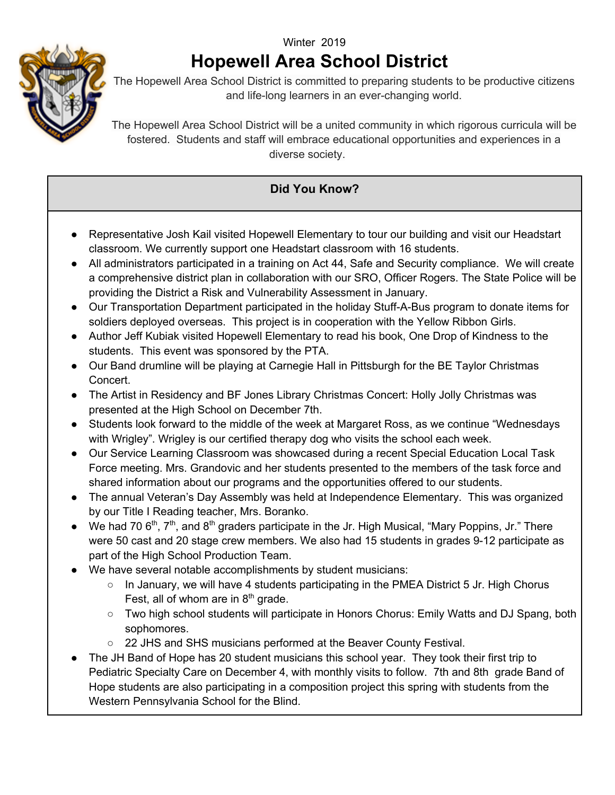## Winter 2019  **Hopewell Area School District**



The Hopewell Area School District is committed to preparing students to be productive citizens and life-long learners in an ever-changing world.

The Hopewell Area School District will be a united community in which rigorous curricula will be fostered. Students and staff will embrace educational opportunities and experiences in a diverse society.

## **Did You Know?**

- Representative Josh Kail visited Hopewell Elementary to tour our building and visit our Headstart classroom. We currently support one Headstart classroom with 16 students.
- All administrators participated in a training on Act 44, Safe and Security compliance. We will create a comprehensive district plan in collaboration with our SRO, Officer Rogers. The State Police will be providing the District a Risk and Vulnerability Assessment in January.
- Our Transportation Department participated in the holiday Stuff-A-Bus program to donate items for soldiers deployed overseas. This project is in cooperation with the Yellow Ribbon Girls.
- Author Jeff Kubiak visited Hopewell Elementary to read his book, One Drop of Kindness to the students. This event was sponsored by the PTA.
- Our Band drumline will be playing at Carnegie Hall in Pittsburgh for the BE Taylor Christmas Concert.
- The Artist in Residency and BF Jones Library Christmas Concert: Holly Jolly Christmas was presented at the High School on December 7th.
- Students look forward to the middle of the week at Margaret Ross, as we continue "Wednesdays with Wrigley". Wrigley is our certified therapy dog who visits the school each week.
- Our Service Learning Classroom was showcased during a recent Special Education Local Task Force meeting. Mrs. Grandovic and her students presented to the members of the task force and shared information about our programs and the opportunities offered to our students.
- The annual Veteran's Day Assembly was held at Independence Elementary. This was organized by our Title I Reading teacher, Mrs. Boranko.
- We had 70  $6<sup>th</sup>$ , 7<sup>th</sup>, and  $8<sup>th</sup>$  graders participate in the Jr. High Musical, "Mary Poppins, Jr." There were 50 cast and 20 stage crew members. We also had 15 students in grades 9-12 participate as part of the High School Production Team.
- We have several notable accomplishments by student musicians:
	- $\circ$  In January, we will have 4 students participating in the PMEA District 5 Jr. High Chorus Fest, all of whom are in  $8<sup>th</sup>$  grade.
	- Two high school students will participate in Honors Chorus: Emily Watts and DJ Spang, both sophomores.
	- 22 JHS and SHS musicians performed at the Beaver County Festival.
- The JH Band of Hope has 20 student musicians this school year. They took their first trip to Pediatric Specialty Care on December 4, with monthly visits to follow. 7th and 8th grade Band of Hope students are also participating in a composition project this spring with students from the Western Pennsylvania School for the Blind.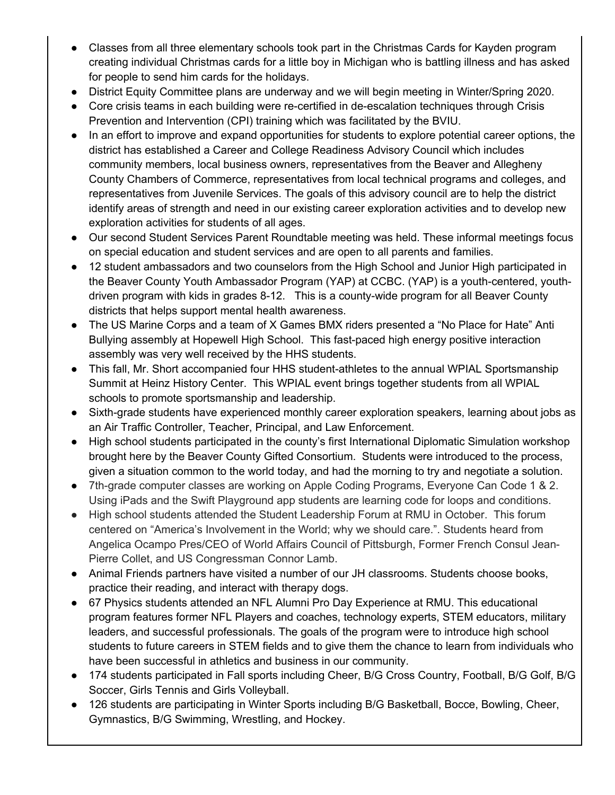- Classes from all three elementary schools took part in the Christmas Cards for Kayden program creating individual Christmas cards for a little boy in Michigan who is battling illness and has asked for people to send him cards for the holidays.
- District Equity Committee plans are underway and we will begin meeting in Winter/Spring 2020.
- Core crisis teams in each building were re-certified in de-escalation techniques through Crisis Prevention and Intervention (CPI) training which was facilitated by the BVIU.
- In an effort to improve and expand opportunities for students to explore potential career options, the district has established a Career and College Readiness Advisory Council which includes community members, local business owners, representatives from the Beaver and Allegheny County Chambers of Commerce, representatives from local technical programs and colleges, and representatives from Juvenile Services. The goals of this advisory council are to help the district identify areas of strength and need in our existing career exploration activities and to develop new exploration activities for students of all ages.
- Our second Student Services Parent Roundtable meeting was held. These informal meetings focus on special education and student services and are open to all parents and families.
- 12 student ambassadors and two counselors from the High School and Junior High participated in the Beaver County Youth Ambassador Program (YAP) at CCBC. (YAP) is a youth-centered, youthdriven program with kids in grades 8-12. This is a county-wide program for all Beaver County districts that helps support mental health awareness.
- The US Marine Corps and a team of X Games BMX riders presented a "No Place for Hate" Anti Bullying assembly at Hopewell High School. This fast-paced high energy positive interaction assembly was very well received by the HHS students.
- This fall, Mr. Short accompanied four HHS student-athletes to the annual WPIAL Sportsmanship Summit at Heinz History Center. This WPIAL event brings together students from all WPIAL schools to promote sportsmanship and leadership.
- Sixth-grade students have experienced monthly career exploration speakers, learning about jobs as an Air Traffic Controller, Teacher, Principal, and Law Enforcement.
- High school students participated in the county's first International Diplomatic Simulation workshop brought here by the Beaver County Gifted Consortium. Students were introduced to the process, given a situation common to the world today, and had the morning to try and negotiate a solution.
- 7th-grade computer classes are working on Apple Coding Programs, Everyone Can Code 1 & 2. Using iPads and the Swift Playground app students are learning code for loops and conditions.
- High school students attended the Student Leadership Forum at RMU in October. This forum centered on "America's Involvement in the World; why we should care.". Students heard from Angelica Ocampo Pres/CEO of World Affairs Council of Pittsburgh, Former French Consul Jean-Pierre Collet, and US Congressman Connor Lamb.
- Animal Friends partners have visited a number of our JH classrooms. Students choose books, practice their reading, and interact with therapy dogs.
- 67 Physics students attended an NFL Alumni Pro Day Experience at RMU. This educational program features former NFL Players and coaches, technology experts, STEM educators, military leaders, and successful professionals. The goals of the program were to introduce high school students to future careers in STEM fields and to give them the chance to learn from individuals who have been successful in athletics and business in our community.
- 174 students participated in Fall sports including Cheer, B/G Cross Country, Football, B/G Golf, B/G Soccer, Girls Tennis and Girls Volleyball.
- 126 students are participating in Winter Sports including B/G Basketball, Bocce, Bowling, Cheer, Gymnastics, B/G Swimming, Wrestling, and Hockey.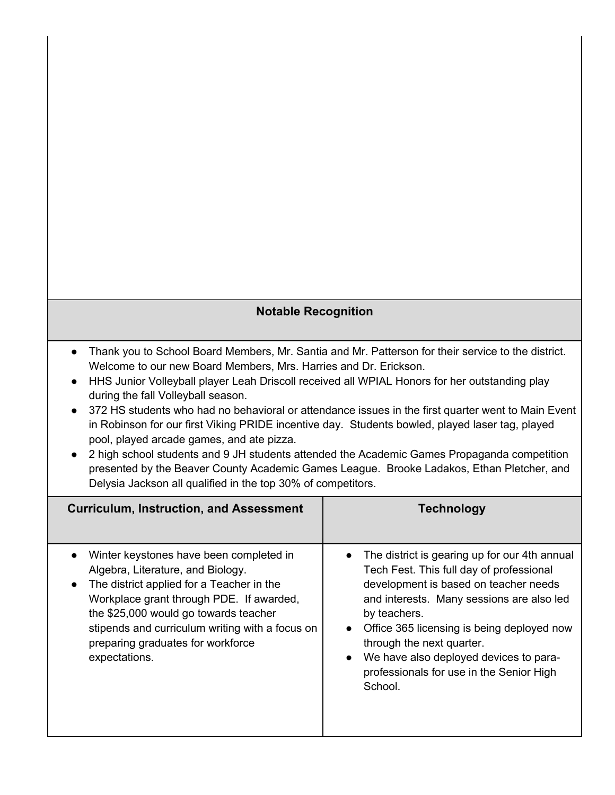## **Notable Recognition**

- Thank you to School Board Members, Mr. Santia and Mr. Patterson for their service to the district. Welcome to our new Board Members, Mrs. Harries and Dr. Erickson.
- HHS Junior Volleyball player Leah Driscoll received all WPIAL Honors for her outstanding play during the fall Volleyball season.
- 372 HS students who had no behavioral or attendance issues in the first quarter went to Main Event in Robinson for our first Viking PRIDE incentive day. Students bowled, played laser tag, played pool, played arcade games, and ate pizza.
- 2 high school students and 9 JH students attended the Academic Games Propaganda competition presented by the Beaver County Academic Games League. Brooke Ladakos, Ethan Pletcher, and Delysia Jackson all qualified in the top 30% of competitors.

| <b>Curriculum, Instruction, and Assessment</b>                                                                                                                                                                                                                                                                          | <b>Technology</b>                                                                                                                                                                                                                                                                                                                                                                          |
|-------------------------------------------------------------------------------------------------------------------------------------------------------------------------------------------------------------------------------------------------------------------------------------------------------------------------|--------------------------------------------------------------------------------------------------------------------------------------------------------------------------------------------------------------------------------------------------------------------------------------------------------------------------------------------------------------------------------------------|
| Winter keystones have been completed in<br>Algebra, Literature, and Biology.<br>The district applied for a Teacher in the<br>Workplace grant through PDE. If awarded,<br>the \$25,000 would go towards teacher<br>stipends and curriculum writing with a focus on<br>preparing graduates for workforce<br>expectations. | • The district is gearing up for our 4th annual<br>Tech Fest. This full day of professional<br>development is based on teacher needs<br>and interests. Many sessions are also led<br>by teachers.<br>Office 365 licensing is being deployed now<br>through the next quarter.<br>We have also deployed devices to para-<br>$\bullet$<br>professionals for use in the Senior High<br>School. |